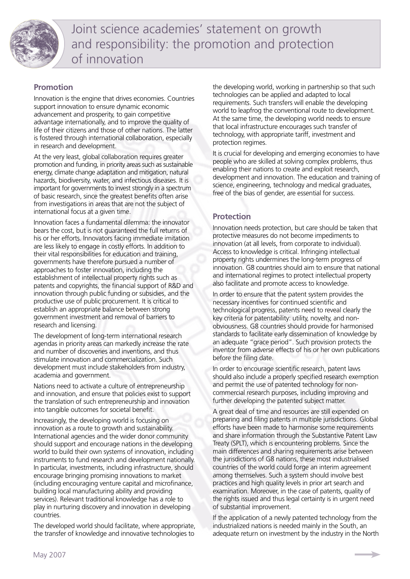

# **Promotion**

Innovation is the engine that drives economies. Countries support innovation to ensure dynamic economic advancement and prosperity, to gain competitive advantage internationally, and to improve the quality of life of their citizens and those of other nations. The latter is fostered through international collaboration, especially in research and development.

At the very least, global collaboration requires greater promotion and funding, in priority areas such as sustainable energy, climate change adaptation and mitigation, natural hazards, biodiversity, water, and infectious diseases. It is important for governments to invest strongly in a spectrum of basic research, since the greatest benefits often arise from investigations in areas that are not the subject of international focus at a given time.

Innovation faces a fundamental dilemma: the innovator bears the cost, but is not guaranteed the full returns of his or her efforts. Innovators facing immediate imitation are less likely to engage in costly efforts. In addition to their vital responsibilities for education and training, governments have therefore pursued a number of approaches to foster innovation, including the establishment of intellectual property rights such as patents and copyrights, the financial support of R&D and innovation through public funding or subsidies, and the productive use of public procurement. It is critical to establish an appropriate balance between strong government investment and removal of barriers to research and licensing.

The development of long-term international research agendas in priority areas can markedly increase the rate and number of discoveries and inventions, and thus stimulate innovation and commercialization. Such development must include stakeholders from industry, academia and government.

Nations need to activate a culture of entrepreneurship and innovation, and ensure that policies exist to support the translation of such entrepreneurship and innovation into tangible outcomes for societal benefit.

Increasingly, the developing world is focusing on innovation as a route to growth and sustainability. International agencies and the wider donor community should support and encourage nations in the developing world to build their own systems of innovation, including instruments to fund research and development nationally. In particular, investments, including infrastructure, should encourage bringing promising innovations to market (including encouraging venture capital and microfinance, building local manufacturing ability and providing services). Relevant traditional knowledge has a role to play in nurturing discovery and innovation in developing countries.

The developed world should facilitate, where appropriate, the transfer of knowledge and innovative technologies to

the developing world, working in partnership so that such technologies can be applied and adapted to local requirements. Such transfers will enable the developing world to leapfrog the conventional route to development. At the same time, the developing world needs to ensure that local infrastructure encourages such transfer of technology, with appropriate tariff, investment and protection regimes.

It is crucial for developing and emerging economies to have people who are skilled at solving complex problems, thus enabling their nations to create and exploit research, development and innovation. The education and training of science, engineering, technology and medical graduates, free of the bias of gender, are essential for success.

# **Protection**

Innovation needs protection, but care should be taken that protective measures do not become impediments to innovation (at all levels, from corporate to individual). Access to knowledge is critical. Infringing intellectual property rights undermines the long-term progress of innovation. G8 countries should aim to ensure that national and international regimes to protect intellectual property also facilitate and promote access to knowledge.

In order to ensure that the patent system provides the necessary incentives for continued scientific and technological progress, patents need to reveal clearly the key criteria for patentability: utility, novelty, and nonobviousness. G8 countries should provide for harmonised standards to facilitate early dissemination of knowledge by an adequate "grace period". Such provision protects the inventor from adverse effects of his or her own publications before the filing date.

In order to encourage scientific research, patent laws should also include a properly specified research exemption and permit the use of patented technology for noncommercial research purposes, including improving and further developing the patented subject matter.

A great deal of time and resources are still expended on preparing and filing patents in multiple jurisdictions. Global efforts have been made to harmonise some requirements and share information through the Substantive Patent Law Treaty (SPLT), which is encountering problems. Since the main differences and sharing requirements arise between the jurisdictions of G8 nations, these most industrialised countries of the world could forge an interim agreement among themselves. Such a system should involve best practices and high quality levels in prior art search and examination. Moreover, in the case of patents, quality of the rights issued and thus legal certainty is in urgent need of substantial improvement.

If the application of a newly patented technology from the industrialized nations is needed mainly in the South, an adequate return on investment by the industry in the North